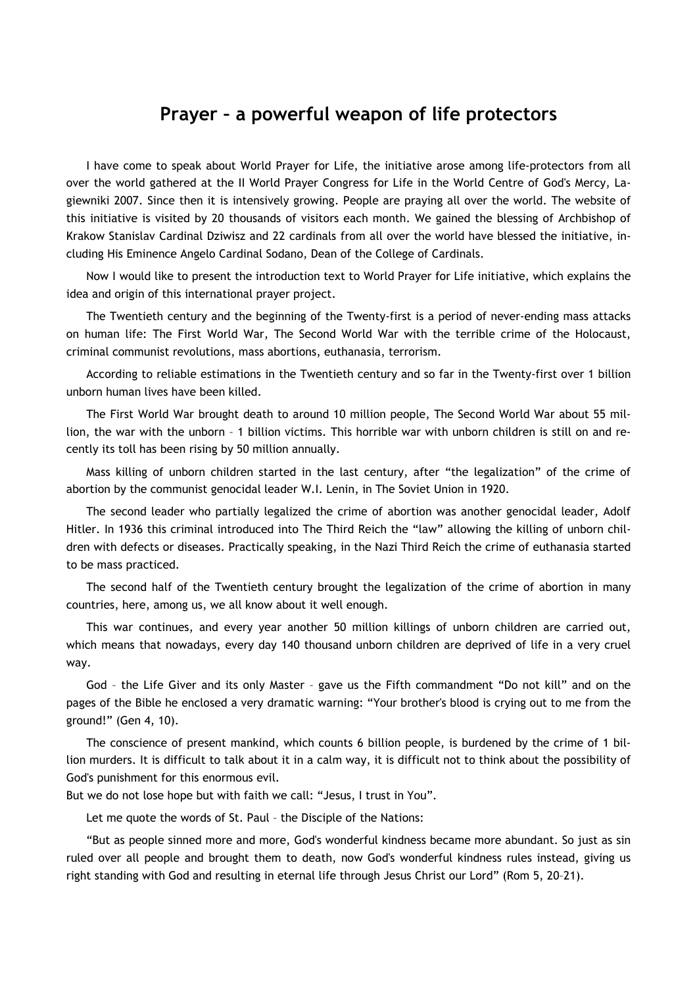## **Prayer – a powerful weapon of life protectors**

I have come to speak about World Prayer for Life, the initiative arose among life-protectors from all over the world gathered at the II World Prayer Congress for Life in the World Centre of God's Mercy, Lagiewniki 2007. Since then it is intensively growing. People are praying all over the world. The website of this initiative is visited by 20 thousands of visitors each month. We gained the blessing of Archbishop of Krakow Stanislav Cardinal Dziwisz and 22 cardinals from all over the world have blessed the initiative, including His Eminence Angelo Cardinal Sodano, Dean of the College of Cardinals.

Now I would like to present the introduction text to World Prayer for Life initiative, which explains the idea and origin of this international prayer project.

The Twentieth century and the beginning of the Twenty-first is a period of never-ending mass attacks on human life: The First World War, The Second World War with the terrible crime of the Holocaust, criminal communist revolutions, mass abortions, euthanasia, terrorism.

According to reliable estimations in the Twentieth century and so far in the Twenty-first over 1 billion unborn human lives have been killed.

The First World War brought death to around 10 million people, The Second World War about 55 million, the war with the unborn – 1 billion victims. This horrible war with unborn children is still on and recently its toll has been rising by 50 million annually.

Mass killing of unborn children started in the last century, after "the legalization" of the crime of abortion by the communist genocidal leader W.I. Lenin, in The Soviet Union in 1920.

The second leader who partially legalized the crime of abortion was another genocidal leader, Adolf Hitler. In 1936 this criminal introduced into The Third Reich the "law" allowing the killing of unborn children with defects or diseases. Practically speaking, in the Nazi Third Reich the crime of euthanasia started to be mass practiced.

The second half of the Twentieth century brought the legalization of the crime of abortion in many countries, here, among us, we all know about it well enough.

This war continues, and every year another 50 million killings of unborn children are carried out, which means that nowadays, every day 140 thousand unborn children are deprived of life in a very cruel way.

God – the Life Giver and its only Master – gave us the Fifth commandment "Do not kill" and on the pages of the Bible he enclosed a very dramatic warning: "Your brother's blood is crying out to me from the ground!" (Gen 4, 10).

The conscience of present mankind, which counts 6 billion people, is burdened by the crime of 1 billion murders. It is difficult to talk about it in a calm way, it is difficult not to think about the possibility of God's punishment for this enormous evil.

But we do not lose hope but with faith we call: "Jesus, I trust in You".

Let me quote the words of St. Paul – the Disciple of the Nations:

"But as people sinned more and more, God's wonderful kindness became more abundant. So just as sin ruled over all people and brought them to death, now God's wonderful kindness rules instead, giving us right standing with God and resulting in eternal life through Jesus Christ our Lord" (Rom 5, 20–21).